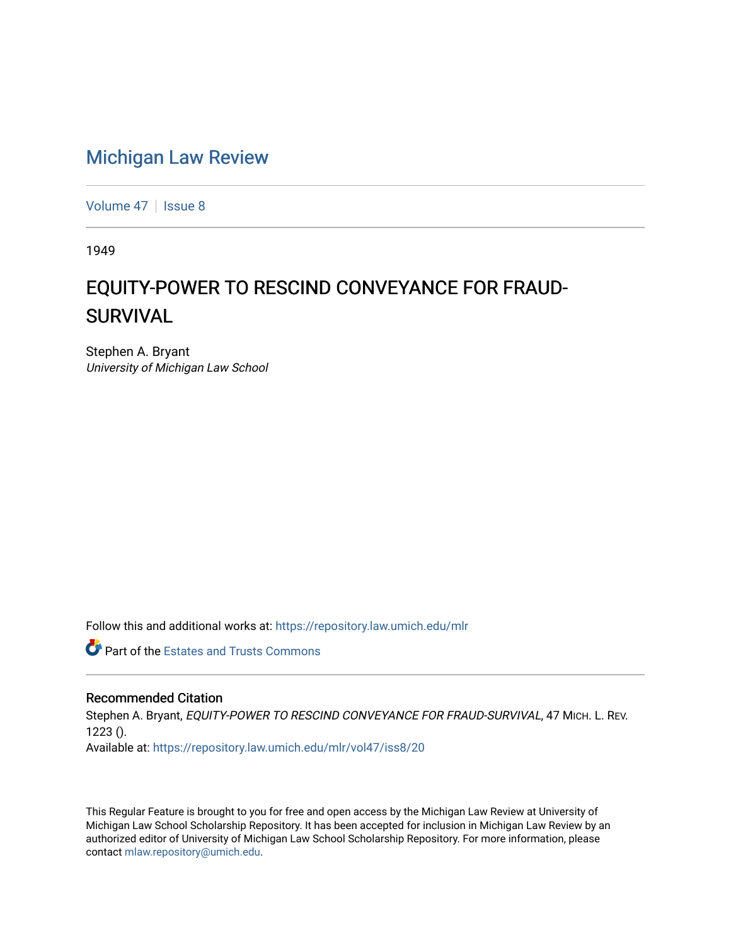## [Michigan Law Review](https://repository.law.umich.edu/mlr)

[Volume 47](https://repository.law.umich.edu/mlr/vol47) | [Issue 8](https://repository.law.umich.edu/mlr/vol47/iss8)

1949

## EQUITY-POWER TO RESCIND CONVEYANCE FOR FRAUD-**SURVIVAL**

Stephen A. Bryant University of Michigan Law School

Follow this and additional works at: [https://repository.law.umich.edu/mlr](https://repository.law.umich.edu/mlr?utm_source=repository.law.umich.edu%2Fmlr%2Fvol47%2Fiss8%2F20&utm_medium=PDF&utm_campaign=PDFCoverPages) 

**Part of the Estates and Trusts Commons** 

## Recommended Citation

Stephen A. Bryant, EQUITY-POWER TO RESCIND CONVEYANCE FOR FRAUD-SURVIVAL, 47 MICH. L. REV. 1223 (). Available at: [https://repository.law.umich.edu/mlr/vol47/iss8/20](https://repository.law.umich.edu/mlr/vol47/iss8/20?utm_source=repository.law.umich.edu%2Fmlr%2Fvol47%2Fiss8%2F20&utm_medium=PDF&utm_campaign=PDFCoverPages) 

This Regular Feature is brought to you for free and open access by the Michigan Law Review at University of Michigan Law School Scholarship Repository. It has been accepted for inclusion in Michigan Law Review by an authorized editor of University of Michigan Law School Scholarship Repository. For more information, please contact [mlaw.repository@umich.edu](mailto:mlaw.repository@umich.edu).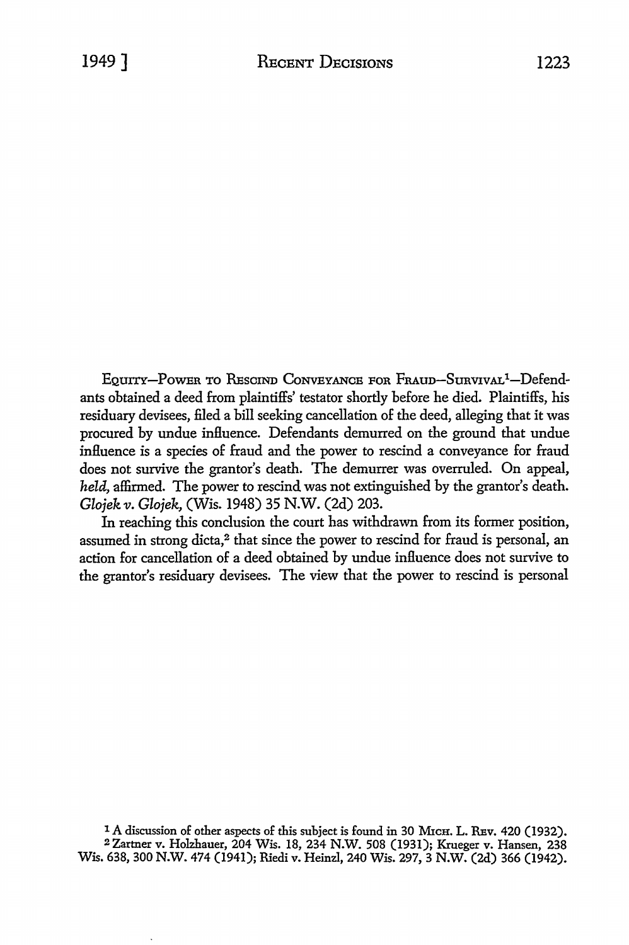EQUITY-POWER TO RESCIND CONVEYANCE FOR FRAUD-SURVIVAL<sup>1</sup>-Defendants obtained a deed from plaintiffs' testator shortly before he died. Plaintiffs, his residuary devisees, filed a bill seeking cancellation of the deed, alleging that it was procured by undue influence. Defendants demurred on the ground that undue influence is a species of fraud and the power to rescind a conveyance for fraud does not survive the grantor's death. The demurrer was overruled. On appeal, *held,* affirmed. The power to rescind was not extinguished by the grantor's death. *Glojek v. Glojek,* (Wis. 1948) 35 N.W. (2d) 203.

In reaching this conclusion the court has withdrawn from its former position, assumed in strong dicta,<sup>2</sup> that since the power to rescind for fraud is personal, an action for cancellation of a deed obtained by undue influence does not survive to the grantor's residuary devisees. The view that the power to rescind is personal

<sup>1</sup> A discussion of other aspects of this subject is found in 30 MICH. L. REV. 420 (1932). 2 Zartner v. Holzhauer, 204 Wis. 18, 234 N.W. 508 (1931); Krueger v. Hansen, 238 Wis. 638, 300 N.W. 474 (1941); Riedi v. Heinzl, 240 Wis. 297, 3 N.W. (2d) 366 (1942).